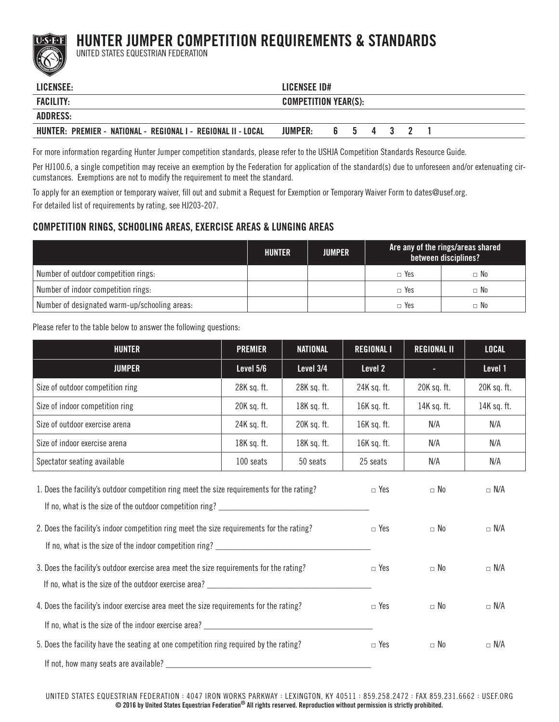## HUNTER JUMPER COMPETITION REQUIREMENTS & STANDARDS



UNITED STATES EQUESTRIAN FEDERATION

| LICENSEE:                                                     | LICENSEE ID#                |  |  |  |  |  |
|---------------------------------------------------------------|-----------------------------|--|--|--|--|--|
| <b>FACILITY:</b>                                              | <b>COMPETITION YEAR(S):</b> |  |  |  |  |  |
| ADDRESS:                                                      |                             |  |  |  |  |  |
| HUNTER: PREMIER - NATIONAL - REGIONAL I - REGIONAL II - LOCAL | <b>JUMPER:</b><br>6 5 4 3 2 |  |  |  |  |  |

For more information regarding Hunter Jumper competition standards, please refer to the USHJA Competition Standards Resource Guide.

Per HJ100.6, a single competition may receive an exemption by the Federation for application of the standard(s) due to unforeseen and/or extenuating circumstances. Exemptions are not to modify the requirement to meet the standard.

To apply for an exemption or temporary waiver, fill out and submit a Request for Exemption or Temporary Waiver Form to dates@usef.org. For detailed list of requirements by rating, see HJ203-207.

## COMPETITION RINGS, SCHOOLING AREAS, EXERCISE AREAS & LUNGING AREAS

|                                               | HUNTER | <b>JUMPER</b> | Are any of the rings/areas shared<br>between disciplines? |           |  |
|-----------------------------------------------|--------|---------------|-----------------------------------------------------------|-----------|--|
| Number of outdoor competition rings:          |        |               | $\Box$ Yes                                                | $\Box$ No |  |
| Number of indoor competition rings:           |        |               | $\Box$ Yes                                                | $\Box$ No |  |
| Number of designated warm-up/schooling areas: |        |               | $\Box$ Yes                                                | $\Box$ No |  |

Please refer to the table below to answer the following questions:

| <b>HUNTER</b>                                                                                                                                                                           | <b>PREMIER</b>           | <b>NATIONAL</b>        | <b>REGIONAL I</b>        | <b>REGIONAL II</b> | <b>LOCAL</b> |
|-----------------------------------------------------------------------------------------------------------------------------------------------------------------------------------------|--------------------------|------------------------|--------------------------|--------------------|--------------|
| <b>JUMPER</b>                                                                                                                                                                           | Level 5/6                | Level 3/4              | Level 2                  |                    | Level 1      |
| Size of outdoor competition ring                                                                                                                                                        | 28K sq. ft.              | 28K sq. ft.            | 24K sq. ft.              | 20K sq. ft.        | 20K sq. ft.  |
| Size of indoor competition ring                                                                                                                                                         | 20K sq. ft.              | 18K sq. ft.            | 16K sq. ft.              | 14K sq. ft.        | 14K sq. ft.  |
| Size of outdoor exercise arena                                                                                                                                                          | 24K sq. ft.              | 20K sq. ft.            | 16K sq. ft.              | N/A                | N/A          |
| Size of indoor exercise arena                                                                                                                                                           | 18K sq. ft.              | 18K sq. ft.            | 16K sq. ft.              | N/A                | N/A          |
| Spectator seating available                                                                                                                                                             | 100 seats                | 50 seats               | 25 seats                 | N/A                | N/A          |
| 1. Does the facility's outdoor competition ring meet the size requirements for the rating?<br>2. Does the facility's indoor competition ring meet the size requirements for the rating? | $\Box$ Yes<br>$\Box$ Yes | $\Box$ No<br>$\Box$ No | $\Box$ N/A<br>$\Box$ N/A |                    |              |
| 3. Does the facility's outdoor exercise area meet the size requirements for the rating?                                                                                                 | $\Box$ Yes               | $\Box$ No              | $\Box$ N/A               |                    |              |
| 4. Does the facility's indoor exercise area meet the size requirements for the rating?                                                                                                  | $\Box$ Yes               | $\Box$ No              | $\Box$ N/A               |                    |              |
| 5. Does the facility have the seating at one competition ring required by the rating?<br>If not, how many seats are available?                                                          | $\Box$ Yes               | $\Box$ No              | $\Box$ N/A               |                    |              |